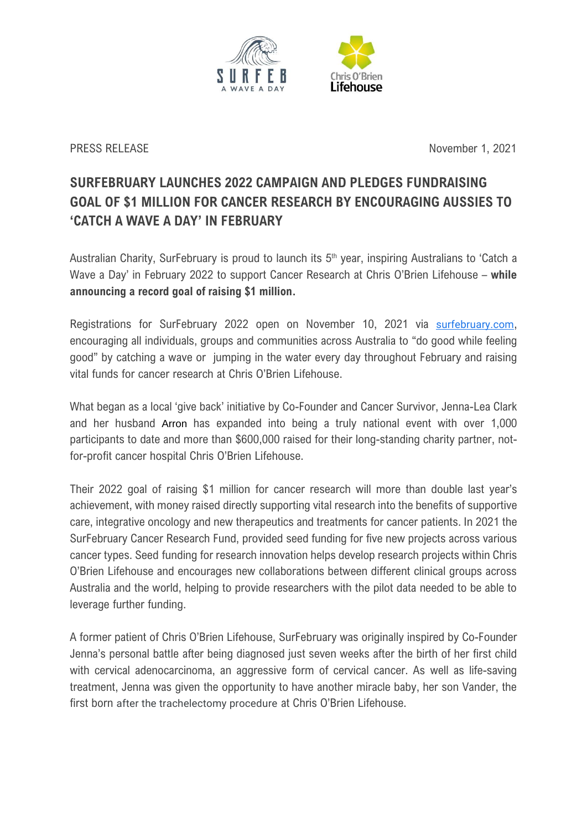

PRESS RELEASE November 1, 2021

## **SURFEBRUARY LAUNCHES 2022 CAMPAIGN AND PLEDGES FUNDRAISING GOAL OF \$1 MILLION FOR CANCER RESEARCH BY ENCOURAGING AUSSIES TO 'CATCH A WAVE A DAY' IN FEBRUARY**

Australian Charity, SurFebruary is proud to launch its 5<sup>th</sup> year, inspiring Australians to 'Catch a Wave a Day' in February 2022 to support Cancer Research at Chris O'Brien Lifehouse – **while announcing a record goal of raising \$1 million.**

Registrations for SurFebruary 2022 open on November 10, 2021 via [surfebruary.com](https://www.google.com/url?q=http://surfebruary.com&sa=D&source=docs&ust=1635202007887000&usg=AOvVaw3NHB8UP_8s_69_fcKzCW0j), encouraging all individuals, groups and communities across Australia to "do good while feeling good" by catching a wave or jumping in the water every day throughout February and raising vital funds for cancer research at Chris O'Brien Lifehouse.

What began as a local 'give back' initiative by Co-Founder and Cancer Survivor, Jenna-Lea Clark and her husband Arron has expanded into being a truly national event with over 1,000 participants to date and more than \$600,000 raised for their long-standing charity partner, notfor-profit cancer hospital Chris O'Brien Lifehouse.

Their 2022 goal of raising \$1 million for cancer research will more than double last year's achievement, with money raised directly supporting vital research into the benefits of supportive care, integrative oncology and new therapeutics and treatments for cancer patients. In 2021 the SurFebruary Cancer Research Fund, provided seed funding for five new projects across various cancer types. Seed funding for research innovation helps develop research projects within Chris O'Brien Lifehouse and encourages new collaborations between different clinical groups across Australia and the world, helping to provide researchers with the pilot data needed to be able to leverage further funding.

A former patient of Chris O'Brien Lifehouse, SurFebruary was originally inspired by Co-Founder Jenna's personal battle after being diagnosed just seven weeks after the birth of her first child with cervical adenocarcinoma, an aggressive form of cervical cancer. As well as life-saving treatment, Jenna was given the opportunity to have another miracle baby, her son Vander, the first born after the trachelectomy procedure at Chris O'Brien Lifehouse.